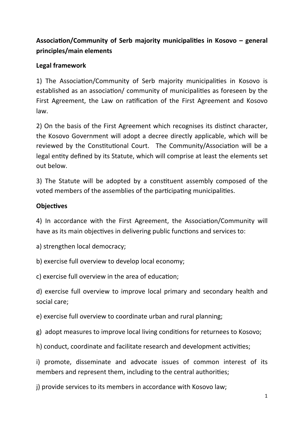# Association/Community of Serb majority municipalities in Kosovo – general principles/main elements

### **Legal framework**

1) The Association/Community of Serb majority municipalities in Kosovo is established as an association/ community of municipalities as foreseen by the First Agreement, the Law on ratification of the First Agreement and Kosovo law.

2) On the basis of the First Agreement which recognises its distinct character, the Kosovo Government will adopt a decree directly applicable, which will be reviewed by the Constitutional Court. The Community/Association will be a legal entity defined by its Statute, which will comprise at least the elements set out below.

3) The Statute will be adopted by a constituent assembly composed of the voted members of the assemblies of the participating municipalities.

### **Objectives**

4) In accordance with the First Agreement, the Association/Community will have as its main objectives in delivering public functions and services to:

a) strengthen local democracy;

b) exercise full overview to develop local economy;

c) exercise full overview in the area of education;

d) exercise full overview to improve local primary and secondary health and social care;

e) exercise full overview to coordinate urban and rural planning;

g) adopt measures to improve local living conditions for returnees to Kosovo;

h) conduct, coordinate and facilitate research and development activities;

i) promote, disseminate and advocate issues of common interest of its members and represent them, including to the central authorities;

i) provide services to its members in accordance with Kosovo law;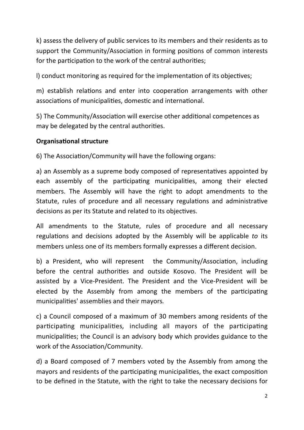k) assess the delivery of public services to its members and their residents as to support the Community/Association in forming positions of common interests for the participation to the work of the central authorities;

I) conduct monitoring as required for the implementation of its objectives;

m) establish relations and enter into cooperation arrangements with other associations of municipalities, domestic and international.

5) The Community/Association will exercise other additional competences as may be delegated by the central authorities.

## **Organisational structure**

6) The Association/Community will have the following organs:

a) an Assembly as a supreme body composed of representatives appointed by each assembly of the participating municipalities, among their elected members. The Assembly will have the right to adopt amendments to the Statute, rules of procedure and all necessary regulations and administrative decisions as per its Statute and related to its objectives.

All amendments to the Statute, rules of procedure and all necessary regulations and decisions adopted by the Assembly will be applicable *to* its members unless one of its members formally expresses a different decision.

b) a President, who will represent the Community/Association, including before the central authorities and outside Kosovo. The President will be assisted by a Vice-President. The President and the Vice-President will be elected by the Assembly from among the members of the participating municipalities' assemblies and their mayors.

c) a Council composed of a maximum of 30 members among residents of the participating municipalities, including all mayors of the participating municipalities; the Council is an advisory body which provides guidance to the work of the Association/Community.

d) a Board composed of 7 members voted by the Assembly from among the mayors and residents of the participating municipalities, the exact composition to be defined in the Statute, with the right to take the necessary decisions for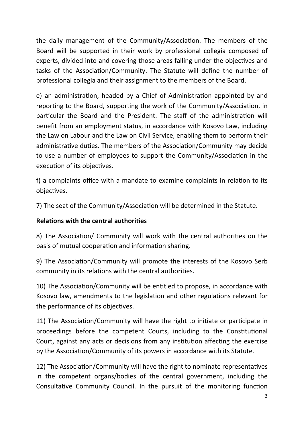the daily management of the Community/Association. The members of the Board will be supported in their work by professional collegia composed of experts, divided into and covering those areas falling under the objectives and tasks of the Association/Community. The Statute will define the number of professional collegia and their assignment to the members of the Board.

e) an administration, headed by a Chief of Administration appointed by and reporting to the Board, supporting the work of the Community/Association, in particular the Board and the President. The staff of the administration will benefit from an employment status, in accordance with Kosovo Law, including the Law on Labour and the Law on Civil Service, enabling them to perform their administrative duties. The members of the Association/Community may decide to use a number of employees to support the Community/Association in the execution of its objectives.

f) a complaints office with a mandate to examine complaints in relation to its objectives.

7) The seat of the Community/Association will be determined in the Statute.

# **Relations with the central authorities**

8) The Association/ Community will work with the central authorities on the basis of mutual cooperation and information sharing.

9) The Association/Community will promote the interests of the Kosovo Serb community in its relations with the central authorities.

10) The Association/Community will be entitled to propose, in accordance with Kosovo law, amendments to the legislation and other regulations relevant for the performance of its objectives.

11) The Association/Community will have the right to initiate or participate in proceedings before the competent Courts, including to the Constitutional Court, against any acts or decisions from any institution affecting the exercise by the Association/Community of its powers in accordance with its Statute.

12) The Association/Community will have the right to nominate representatives in the competent organs/bodies of the central government, including the Consultative Community Council. In the pursuit of the monitoring function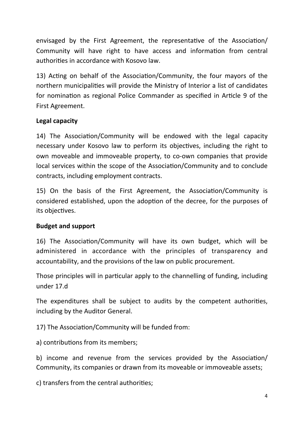envisaged by the First Agreement, the representative of the Association/ Community will have right to have access and information from central authorities in accordance with Kosovo law.

13) Acting on behalf of the Association/Community, the four mayors of the northern municipalities will provide the Ministry of Interior a list of candidates for nomination as regional Police Commander as specified in Article 9 of the First Agreement.

### Legal capacity

14) The Association/Community will be endowed with the legal capacity necessary under Kosovo law to perform its objectives, including the right to own moveable and immoveable property, to co-own companies that provide local services within the scope of the Association/Community and to conclude contracts, including employment contracts.

15) On the basis of the First Agreement, the Association/Community is considered established, upon the adoption of the decree, for the purposes of its objectives.

### **Budget and support**

16) The Association/Community will have its own budget, which will be administered in accordance with the principles of transparency and accountability, and the provisions of the law on public procurement.

Those principles will in particular apply to the channelling of funding, including under 17.d

The expenditures shall be subject to audits by the competent authorities, including by the Auditor General.

17) The Association/Community will be funded from:

a) contributions from its members;

b) income and revenue from the services provided by the Association/ Community, its companies or drawn from its moveable or immoveable assets;

c) transfers from the central authorities;